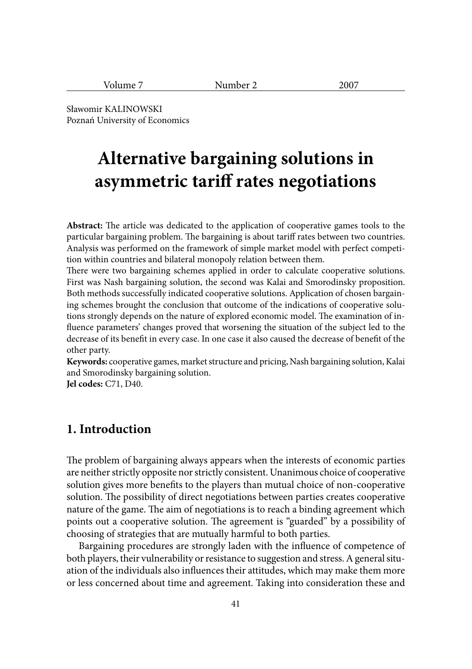| o۳<br> | ___ |
|--------|-----|
|--------|-----|

Sławomir KALINOWSKI Poznań University of Economics

# **Alternative bargaining solutions in asymmetric tariff rates negotiations**

**Abstract:** The article was dedicated to the application of cooperative games tools to the particular bargaining problem. The bargaining is about tariff rates between two countries. Analysis was performed on the framework of simple market model with perfect competition within countries and bilateral monopoly relation between them.

There were two bargaining schemes applied in order to calculate cooperative solutions. First was Nash bargaining solution, the second was Kalai and Smorodinsky proposition. Both methods successfully indicated cooperative solutions. Application of chosen bargaining schemes brought the conclusion that outcome of the indications of cooperative solutions strongly depends on the nature of explored economic model. The examination of influence parameters' changes proved that worsening the situation of the subject led to the decrease of its benefit in every case. In one case it also caused the decrease of benefit of the other party.

**Keywords:** cooperative games, market structure and pricing, Nash bargaining solution, Kalai and Smorodinsky bargaining solution.

**Jel codes:** C71, D40.

#### **1. Introduction**

The problem of bargaining always appears when the interests of economic parties are neither strictly opposite nor strictly consistent. Unanimous choice of cooperative solution gives more benefits to the players than mutual choice of non-cooperative solution. The possibility of direct negotiations between parties creates cooperative nature of the game. The aim of negotiations is to reach a binding agreement which points out a cooperative solution. The agreement is "guarded" by a possibility of choosing of strategies that are mutually harmful to both parties.

Bargaining procedures are strongly laden with the influence of competence of both players, their vulnerability or resistance to suggestion and stress. A general situation of the individuals also influences their attitudes, which may make them more or less concerned about time and agreement. Taking into consideration these and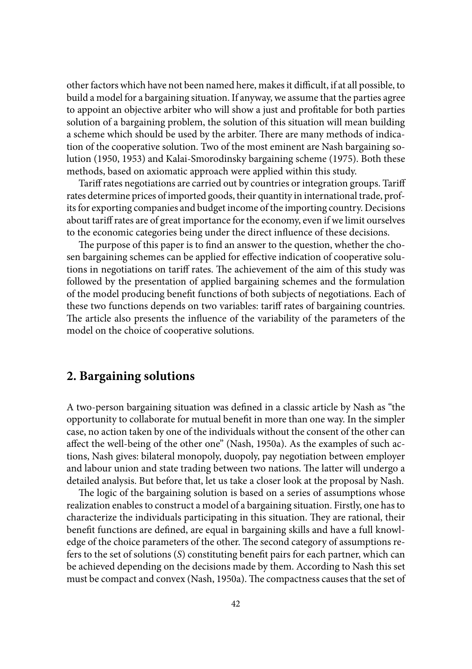other factors which have not been named here, makes it difficult, if at all possible, to build a model for a bargaining situation. If anyway, we assume that the parties agree to appoint an objective arbiter who will show a just and profitable for both parties solution of a bargaining problem, the solution of this situation will mean building a scheme which should be used by the arbiter. There are many methods of indication of the cooperative solution. Two of the most eminent are Nash bargaining solution (1950, 1953) and Kalai-Smorodinsky bargaining scheme (1975). Both these methods, based on axiomatic approach were applied within this study.

Tariff rates negotiations are carried out by countries or integration groups. Tariff rates determine prices of imported goods, their quantity in international trade, profits for exporting companies and budget income of the importing country. Decisions about tariff rates are of great importance for the economy, even if we limit ourselves to the economic categories being under the direct influence of these decisions.

The purpose of this paper is to find an answer to the question, whether the chosen bargaining schemes can be applied for effective indication of cooperative solutions in negotiations on tariff rates. The achievement of the aim of this study was followed by the presentation of applied bargaining schemes and the formulation of the model producing benefit functions of both subjects of negotiations. Each of these two functions depends on two variables: tariff rates of bargaining countries. The article also presents the influence of the variability of the parameters of the model on the choice of cooperative solutions.

#### **2. Bargaining solutions**

A two-person bargaining situation was defined in a classic article by Nash as "the opportunity to collaborate for mutual benefi t in more than one way. In the simpler case, no action taken by one of the individuals without the consent of the other can affect the well-being of the other one" (Nash, 1950a). As the examples of such actions, Nash gives: bilateral monopoly, duopoly, pay negotiation between employer and labour union and state trading between two nations. The latter will undergo a detailed analysis. But before that, let us take a closer look at the proposal by Nash.

The logic of the bargaining solution is based on a series of assumptions whose realization enables to construct a model of a bargaining situation. Firstly, one has to characterize the individuals participating in this situation. They are rational, their benefit functions are defined, are equal in bargaining skills and have a full knowledge of the choice parameters of the other. The second category of assumptions refers to the set of solutions (*S*) constituting benefi t pairs for each partner, which can be achieved depending on the decisions made by them. According to Nash this set must be compact and convex (Nash, 1950a). The compactness causes that the set of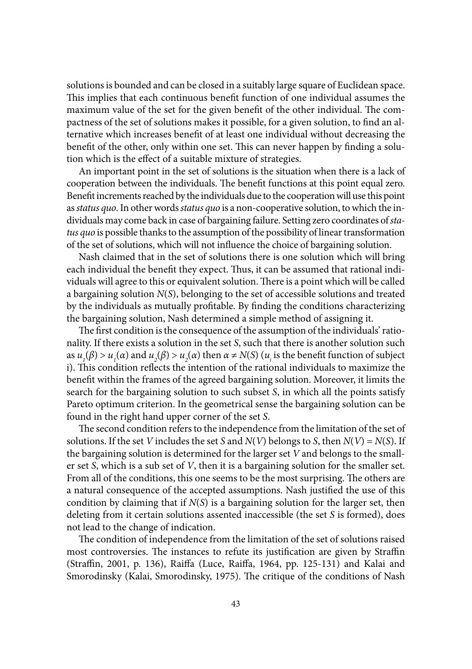solutions is bounded and can be closed in a suitably large square of Euclidean space. This implies that each continuous benefit function of one individual assumes the maximum value of the set for the given benefit of the other individual. The compactness of the set of solutions makes it possible, for a given solution, to find an alternative which increases benefit of at least one individual without decreasing the benefit of the other, only within one set. This can never happen by finding a solution which is the effect of a suitable mixture of strategies.

An important point in the set of solutions is the situation when there is a lack of cooperation between the individuals. The benefit functions at this point equal zero. Benefit increments reached by the individuals due to the cooperation will use this point as *status quo*. In other words *status quo* is a non-cooperative solution, to which the individuals may come back in case of bargaining failure. Setting zero coordinates of *status quo* is possible thanks to the assumption of the possibility of linear transformation of the set of solutions, which will not influence the choice of bargaining solution.

Nash claimed that in the set of solutions there is one solution which will bring each individual the benefit they expect. Thus, it can be assumed that rational individuals will agree to this or equivalent solution. There is a point which will be called a bargaining solution *N*(*S*), belonging to the set of accessible solutions and treated by the individuals as mutually profitable. By finding the conditions characterizing the bargaining solution, Nash determined a simple method of assigning it.

The first condition is the consequence of the assumption of the individuals' rationality. If there exists a solution in the set *S*, such that there is another solution such as  $u_1(\beta) > u_1(\alpha)$  and  $u_2(\beta) > u_2(\alpha)$  then  $\alpha \neq N(S)$  ( $u_i$  is the benefit function of subject i). This condition reflects the intention of the rational individuals to maximize the benefit within the frames of the agreed bargaining solution. Moreover, it limits the search for the bargaining solution to such subset *S*, in which all the points satisfy Pareto optimum criterion. In the geometrical sense the bargaining solution can be found in the right hand upper corner of the set *S*.

The second condition refers to the independence from the limitation of the set of solutions. If the set *V* includes the set *S* and *N*(*V*) belongs to *S*, then *N*(*V*) = *N*(*S*). If the bargaining solution is determined for the larger set *V* and belongs to the smaller set *S*, which is a sub set of *V*, then it is a bargaining solution for the smaller set. From all of the conditions, this one seems to be the most surprising. The others are a natural consequence of the accepted assumptions. Nash justified the use of this condition by claiming that if *N*(*S*) is a bargaining solution for the larger set, then deleting from it certain solutions assented inaccessible (the set *S* is formed), does not lead to the change of indication.

The condition of independence from the limitation of the set of solutions raised most controversies. The instances to refute its justification are given by Straffin (Straffin, 2001, p. 136), Raiffa (Luce, Raiffa, 1964, pp. 125-131) and Kalai and Smorodinsky (Kalai, Smorodinsky, 1975). The critique of the conditions of Nash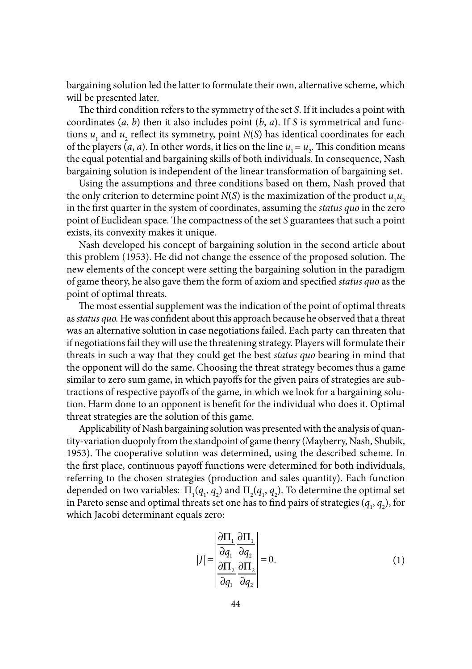bargaining solution led the latter to formulate their own, alternative scheme, which will be presented later.

The third condition refers to the symmetry of the set *S*. If it includes a point with coordinates (*a*, *b*) then it also includes point (*b*, *a*). If *S* is symmetrical and functions *u*, and *u*<sub>2</sub> reflect its symmetry, point  $N(S)$  has identical coordinates for each of the players (*a*, *a*). In other words, it lies on the line  $u_1 = u_2$ . This condition means the equal potential and bargaining skills of both individuals. In consequence, Nash bargaining solution is independent of the linear transformation of bargaining set.

Using the assumptions and three conditions based on them, Nash proved that the only criterion to determine point *N*(*S*) is the maximization of the product  $u_1u_2$ in the first quarter in the system of coordinates, assuming the *status quo* in the zero point of Euclidean space. The compactness of the set *S* guarantees that such a point exists, its convexity makes it unique.

Nash developed his concept of bargaining solution in the second article about this problem (1953). He did not change the essence of the proposed solution. The new elements of the concept were setting the bargaining solution in the paradigm of game theory, he also gave them the form of axiom and specified *status quo* as the point of optimal threats.

The most essential supplement was the indication of the point of optimal threats as *status quo.* He was confident about this approach because he observed that a threat was an alternative solution in case negotiations failed. Each party can threaten that if negotiations fail they will use the threatening strategy. Players will formulate their threats in such a way that they could get the best *status quo* bearing in mind that the opponent will do the same. Choosing the threat strategy becomes thus a game similar to zero sum game, in which payoffs for the given pairs of strategies are subtractions of respective payoffs of the game, in which we look for a bargaining solution. Harm done to an opponent is benefit for the individual who does it. Optimal threat strategies are the solution of this game.

Applicability of Nash bargaining solution was presented with the analysis of quantity-variation duopoly from the standpoint of game theory (Mayberry, Nash, Shubik, 1953). The cooperative solution was determined, using the described scheme. In the first place, continuous payoff functions were determined for both individuals, referring to the chosen strategies (production and sales quantity). Each function depended on two variables:  $\Pi_1(q_1, q_2)$  and  $\Pi_2(q_1, q_2)$ . To determine the optimal set in Pareto sense and optimal threats set one has to find pairs of strategies  $(q_{1}, q_{2})$ , for which Jacobi determinant equals zero:

$$
|J| = \begin{vmatrix} \frac{\partial \Pi_1}{\partial q_1} & \frac{\partial \Pi_1}{\partial q_2} \\ \frac{\partial \Pi_2}{\partial q_1} & \frac{\partial \Pi_2}{\partial q_2} \end{vmatrix} = 0.
$$
 (1)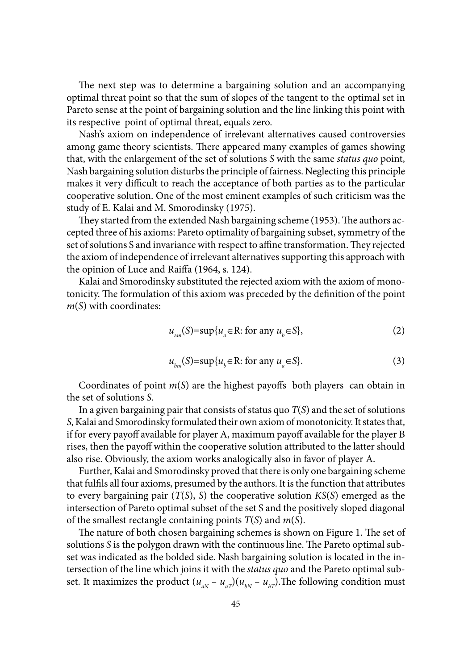The next step was to determine a bargaining solution and an accompanying optimal threat point so that the sum of slopes of the tangent to the optimal set in Pareto sense at the point of bargaining solution and the line linking this point with its respective point of optimal threat, equals zero.

Nash's axiom on independence of irrelevant alternatives caused controversies among game theory scientists. There appeared many examples of games showing that, with the enlargement of the set of solutions *S* with the same *status quo* point, Nash bargaining solution disturbs the principle of fairness. Neglecting this principle makes it very difficult to reach the acceptance of both parties as to the particular cooperative solution. One of the most eminent examples of such criticism was the study of E. Kalai and M. Smorodinsky (1975).

They started from the extended Nash bargaining scheme (1953). The authors accepted three of his axioms: Pareto optimality of bargaining subset, symmetry of the set of solutions S and invariance with respect to affine transformation. They rejected the axiom of independence of irrelevant alternatives supporting this approach with the opinion of Luce and Raiffa (1964, s. 124).

Kalai and Smorodinsky substituted the rejected axiom with the axiom of monotonicity. The formulation of this axiom was preceded by the definition of the point *m*(*S*) with coordinates:

$$
u_{am}(S) = \sup \{ u_a \in \mathbb{R} : \text{ for any } u_b \in S \},\tag{2}
$$

$$
u_{bm}(S) = \sup \{ u_b \in \mathbb{R} : \text{ for any } u_a \in S \}. \tag{3}
$$

Coordinates of point  $m(S)$  are the highest payoffs both players can obtain in the set of solutions *S*.

In a given bargaining pair that consists of status quo *T*(*S*) and the set of solutions *S*, Kalai and Smorodinsky formulated their own axiom of monotonicity. It states that, if for every payoff available for player A, maximum payoff available for the player B rises, then the payoff within the cooperative solution attributed to the latter should also rise. Obviously, the axiom works analogically also in favor of player A.

Further, Kalai and Smorodinsky proved that there is only one bargaining scheme that fulfils all four axioms, presumed by the authors. It is the function that attributes to every bargaining pair (*T*(*S*), *S*) the cooperative solution *KS*(*S*) emerged as the intersection of Pareto optimal subset of the set S and the positively sloped diagonal of the smallest rectangle containing points *T*(*S*) and *m*(*S*).

The nature of both chosen bargaining schemes is shown on Figure 1. The set of solutions *S* is the polygon drawn with the continuous line. The Pareto optimal subset was indicated as the bolded side. Nash bargaining solution is located in the intersection of the line which joins it with the *status quo* and the Pareto optimal subset. It maximizes the product  $(u_{aN} - u_{aT})(u_{bN} - u_{bT})$ . The following condition must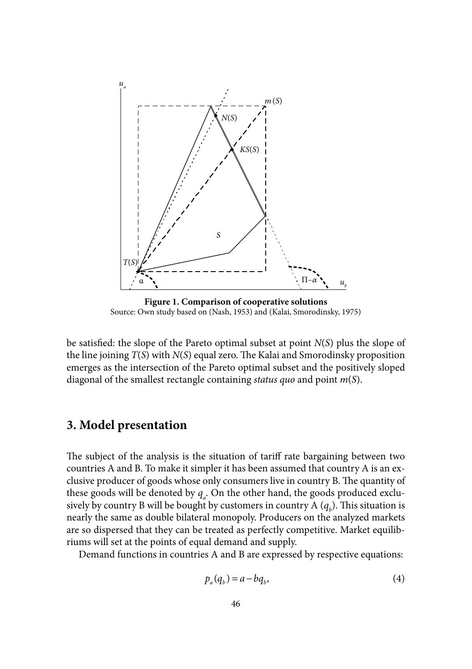

**Figure 1. Comparison of cooperative solutions** Source: Own study based on (Nash, 1953) and (Kalai, Smorodinsky, 1975)

be satisfied: the slope of the Pareto optimal subset at point  $N(S)$  plus the slope of the line joining  $T(S)$  with  $N(S)$  equal zero. The Kalai and Smorodinsky proposition emerges as the intersection of the Pareto optimal subset and the positively sloped diagonal of the smallest rectangle containing *status quo* and point *m*(*S*).

# **3. Model presentation**

The subject of the analysis is the situation of tariff rate bargaining between two countries A and B. To make it simpler it has been assumed that country A is an exclusive producer of goods whose only consumers live in country B. The quantity of these goods will be denoted by  $q_{\scriptscriptstyle a}$ . On the other hand, the goods produced exclusively by country B will be bought by customers in country A  $(q_b)$ . This situation is nearly the same as double bilateral monopoly. Producers on the analyzed markets are so dispersed that they can be treated as perfectly competitive. Market equilibriums will set at the points of equal demand and supply.

Demand functions in countries A and B are expressed by respective equations:

$$
p_a(q_b) = a - bq_b,\tag{4}
$$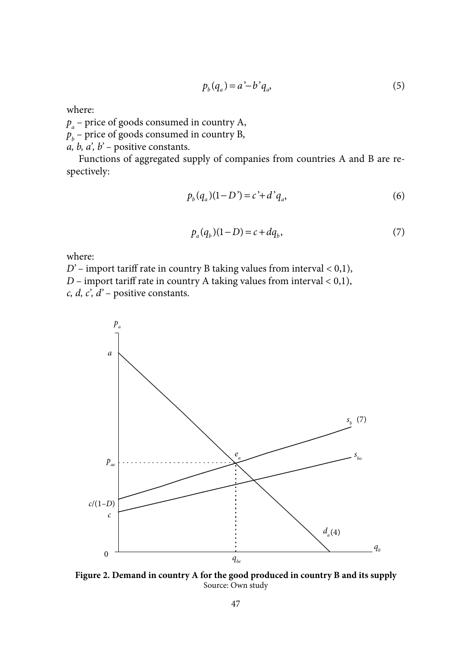$$
p_b(q_a) = a' - b' q_a,
$$
\n<sup>(5)</sup>

where:

*pa* – price of goods consumed in country A,

 $p_{\scriptscriptstyle b}$  – price of goods consumed in country B,

*a, b, a', b'* – positive constants.

Functions of aggregated supply of companies from countries A and B are respectively:

$$
p_b(q_a)(1 - D') = c' + d'q_a,
$$
\n(6)

$$
p_a(q_b)(1 - D) = c + dq_b,
$$
\n(7)

where:

*D'* – import tariff rate in country B taking values from interval < 0,1), *D* – import tariff rate in country A taking values from interval  $< 0.1$ ), *c, d, c', d'* – positive constants.



**Figure 2. Demand in country A for the good produced in country B and its supply** Source: Own study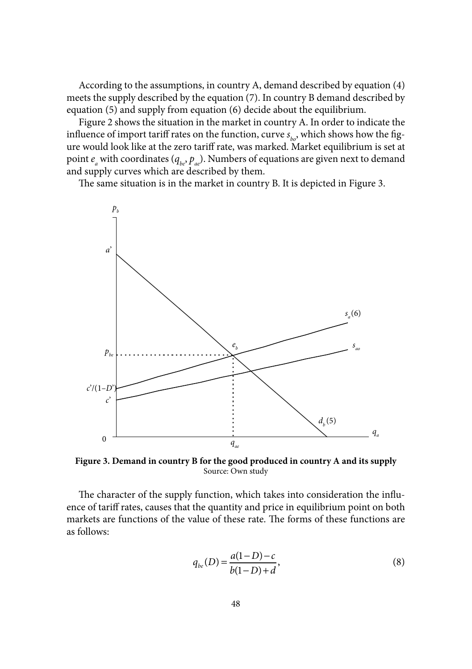According to the assumptions, in country A, demand described by equation (4) meets the supply described by the equation (7). In country B demand described by equation (5) and supply from equation (6) decide about the equilibrium.

Figure 2 shows the situation in the market in country A. In order to indicate the influence of import tariff rates on the function, curve  $s_{i,j}$ , which shows how the figure would look like at the zero tariff rate, was marked. Market equilibrium is set at point  $e_a$  with coordinates ( $q_{be}$ ,  $p_{ae}$ ). Numbers of equations are given next to demand and supply curves which are described by them.

The same situation is in the market in country B. It is depicted in Figure 3.



**Figure 3. Demand in country B for the good produced in country A and its supply** Source: Own study

The character of the supply function, which takes into consideration the influence of tariff rates, causes that the quantity and price in equilibrium point on both markets are functions of the value of these rate. The forms of these functions are as follows:

$$
q_{be}(D) = \frac{a(1-D)-c}{b(1-D)+d},\tag{8}
$$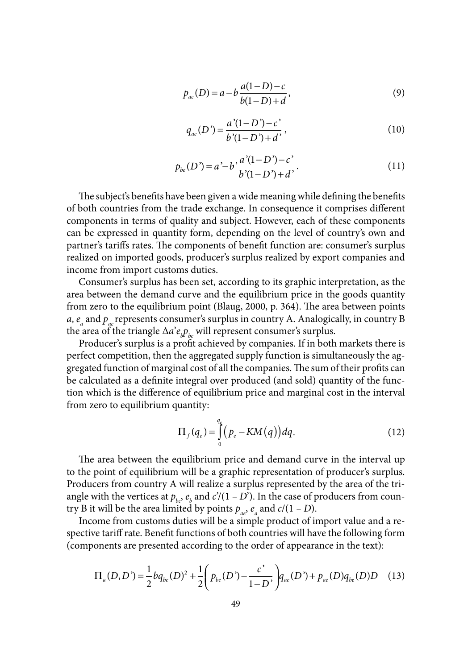$$
p_{ae}(D) = a - b \frac{a(1 - D) - c}{b(1 - D) + d},
$$
\n(9)

$$
q_{ae}(D') = \frac{a'(1-D') - c'}{b'(1-D') + d'},
$$
\n(10)

$$
p_{be}(D') = a'-b'\frac{a'(1-D')-c'}{b'(1-D')+d'}.\tag{11}
$$

The subject's benefits have been given a wide meaning while defining the benefits of both countries from the trade exchange. In consequence it comprises different components in terms of quality and subject. However, each of these components can be expressed in quantity form, depending on the level of country's own and partner's tariffs rates. The components of benefit function are: consumer's surplus realized on imported goods, producer's surplus realized by export companies and income from import customs duties.

Consumer's surplus has been set, according to its graphic interpretation, as the area between the demand curve and the equilibrium price in the goods quantity from zero to the equilibrium point (Blaug, 2000, p. 364). The area between points *a*,  $e_a$  and  $p_{ae}$  represents consumer's surplus in country A. Analogically, in country B the area of the triangle  $\Delta a^{\prime}e_{\mu}p_{\nu e}$  will represent consumer's surplus.

Producer's surplus is a profit achieved by companies. If in both markets there is perfect competition, then the aggregated supply function is simultaneously the aggregated function of marginal cost of all the companies. The sum of their profits can be calculated as a definite integral over produced (and sold) quantity of the function which is the difference of equilibrium price and marginal cost in the interval from zero to equilibrium quantity:

$$
\Pi_f(q_e) = \int_0^{q_e} \left( p_e - KM(q) \right) dq. \tag{12}
$$

The area between the equilibrium price and demand curve in the interval up to the point of equilibrium will be a graphic representation of producer's surplus. Producers from country A will realize a surplus represented by the area of the triangle with the vertices at  $p_{bc}$ ,  $e_b$  and  $c'$ /(1 *– D*'). In the case of producers from country B it will be the area limited by points  $p_{ae}$ ,  $e_{a}$  and  $c/(1 - D)$ .

Income from customs duties will be a simple product of import value and a respective tariff rate. Benefit functions of both countries will have the following form (components are presented according to the order of appearance in the text):

$$
\Pi_a(D, D') = \frac{1}{2} b q_{be}(D)^2 + \frac{1}{2} \left( p_{be}(D') - \frac{c'}{1 - D'} \right) q_{ae}(D') + p_{ae}(D) q_{be}(D)D \quad (13)
$$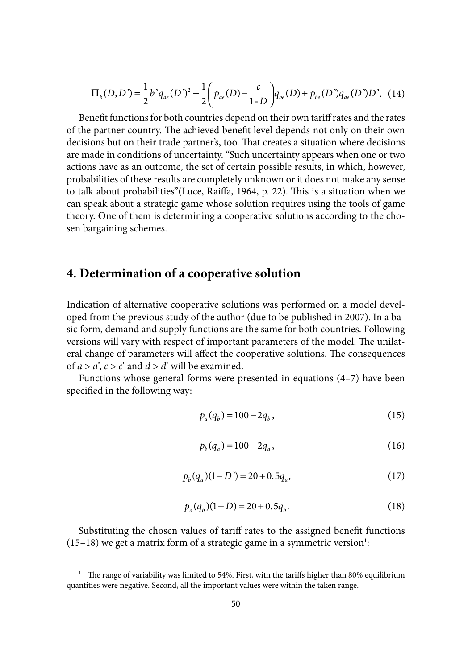$$
\Pi_b(D, D') = \frac{1}{2} b' q_{ae}(D')^2 + \frac{1}{2} \left( p_{ae}(D) - \frac{c}{1 - D} \right) q_{be}(D) + p_{be}(D') q_{ae}(D') D'. \tag{14}
$$

Benefit functions for both countries depend on their own tariff rates and the rates of the partner country. The achieved benefit level depends not only on their own decisions but on their trade partner's, too. That creates a situation where decisions are made in conditions of uncertainty. "Such uncertainty appears when one or two actions have as an outcome, the set of certain possible results, in which, however, probabilities of these results are completely unknown or it does not make any sense to talk about probabilities"(Luce, Raiffa, 1964, p. 22). This is a situation when we can speak about a strategic game whose solution requires using the tools of game theory. One of them is determining a cooperative solutions according to the chosen bargaining schemes.

## **4. Determination of a cooperative solution**

Indication of alternative cooperative solutions was performed on a model developed from the previous study of the author (due to be published in 2007). In a basic form, demand and supply functions are the same for both countries. Following versions will vary with respect of important parameters of the model. The unilateral change of parameters will affect the cooperative solutions. The consequences of  $a > a'$ ,  $c > c'$  and  $d > d'$  will be examined.

Functions whose general forms were presented in equations (4–7) have been specified in the following way:

$$
p_a(q_b) = 100 - 2q_b, \qquad (15)
$$

$$
p_b(q_a) = 100 - 2q_a, \t\t(16)
$$

$$
p_b(q_a)(1 - D') = 20 + 0.5q_a, \qquad (17)
$$

$$
p_a(q_b)(1-D) = 20 + 0.5q_b.
$$
 (18)

Substituting the chosen values of tariff rates to the assigned benefit functions  $(15-18)$  we get a matrix form of a strategic game in a symmetric version<sup>1</sup>:

<sup>&</sup>lt;sup>1</sup> The range of variability was limited to 54%. First, with the tariffs higher than 80% equilibrium quantities were negative. Second, all the important values were within the taken range.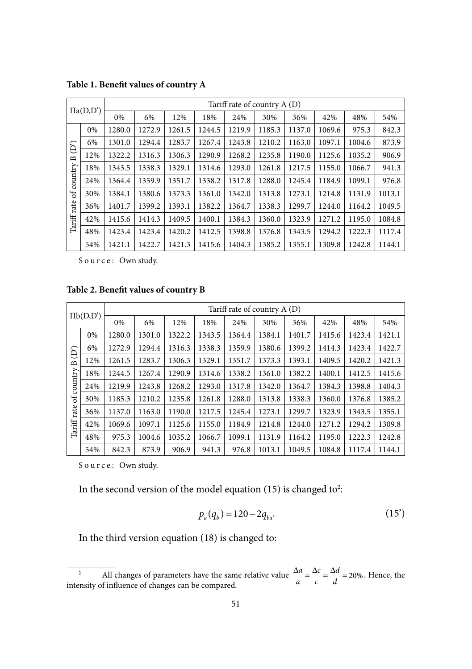| $\Pi$ a $(D,D')$                                                     |     | Tariff rate of country $A(D)$ |        |        |        |        |        |        |        |        |        |  |  |
|----------------------------------------------------------------------|-----|-------------------------------|--------|--------|--------|--------|--------|--------|--------|--------|--------|--|--|
|                                                                      |     | 0%                            | 6%     | 12%    | 18%    | 24%    | 30%    | 36%    | 42%    | 48%    | 54%    |  |  |
| $\widehat{\Theta}$<br>$\mathbf{a}$<br>country<br>ð<br>rate<br>Tariff | 0%  | 1280.0                        | 1272.9 | 1261.5 | 1244.5 | 1219.9 | 1185.3 | 1137.0 | 1069.6 | 975.3  | 842.3  |  |  |
|                                                                      | 6%  | 1301.0                        | 1294.4 | 1283.7 | 1267.4 | 1243.8 | 1210.2 | 1163.0 | 1097.1 | 1004.6 | 873.9  |  |  |
|                                                                      | 12% | 1322.2                        | 1316.3 | 1306.3 | 1290.9 | 1268.2 | 1235.8 | 1190.0 | 1125.6 | 1035.2 | 906.9  |  |  |
|                                                                      | 18% | 1343.5                        | 1338.3 | 1329.1 | 1314.6 | 1293.0 | 1261.8 | 1217.5 | 1155.0 | 1066.7 | 941.3  |  |  |
|                                                                      | 24% | 1364.4                        | 1359.9 | 1351.7 | 1338.2 | 1317.8 | 1288.0 | 1245.4 | 1184.9 | 1099.1 | 976.8  |  |  |
|                                                                      | 30% | 1384.1                        | 1380.6 | 1373.3 | 1361.0 | 1342.0 | 1313.8 | 1273.1 | 1214.8 | 1131.9 | 1013.1 |  |  |
|                                                                      | 36% | 1401.7                        | 1399.2 | 1393.1 | 1382.2 | 1364.7 | 1338.3 | 1299.7 | 1244.0 | 1164.2 | 1049.5 |  |  |
|                                                                      | 42% | 1415.6                        | 1414.3 | 1409.5 | 1400.1 | 1384.3 | 1360.0 | 1323.9 | 1271.2 | 1195.0 | 1084.8 |  |  |
|                                                                      | 48% | 1423.4                        | 1423.4 | 1420.2 | 1412.5 | 1398.8 | 1376.8 | 1343.5 | 1294.2 | 1222.3 | 1117.4 |  |  |
|                                                                      | 54% | 1421.1                        | 1422.7 | 1421.3 | 1415.6 | 1404.3 | 1385.2 | 1355.1 | 1309.8 | 1242.8 | 1144.1 |  |  |

Table 1. Benefit values of country A

Source: Own study.

Table 2. Benefit values of country **B** 

| $\Pi b(D,D')$                                                               |     | Tariff rate of country $A(D)$ |        |        |        |        |        |        |        |        |        |  |  |
|-----------------------------------------------------------------------------|-----|-------------------------------|--------|--------|--------|--------|--------|--------|--------|--------|--------|--|--|
|                                                                             |     | 0%                            | 6%     | 12%    | 18%    | 24%    | 30%    | 36%    | 42%    | 48%    | 54%    |  |  |
| $\widehat{\Theta}$<br>$\mathbf{a}$<br>country<br>$\sigma$<br>rate<br>Tariff | 0%  | 1280.0                        | 1301.0 | 1322.2 | 1343.5 | 1364.4 | 1384.1 | 1401.7 | 1415.6 | 1423.4 | 1421.1 |  |  |
|                                                                             | 6%  | 1272.9                        | 1294.4 | 1316.3 | 1338.3 | 1359.9 | 1380.6 | 1399.2 | 1414.3 | 1423.4 | 1422.7 |  |  |
|                                                                             | 12% | 1261.5                        | 1283.7 | 1306.3 | 1329.1 | 1351.7 | 1373.3 | 1393.1 | 1409.5 | 1420.2 | 1421.3 |  |  |
|                                                                             | 18% | 1244.5                        | 1267.4 | 1290.9 | 1314.6 | 1338.2 | 1361.0 | 1382.2 | 1400.1 | 1412.5 | 1415.6 |  |  |
|                                                                             | 24% | 1219.9                        | 1243.8 | 1268.2 | 1293.0 | 1317.8 | 1342.0 | 1364.7 | 1384.3 | 1398.8 | 1404.3 |  |  |
|                                                                             | 30% | 1185.3                        | 1210.2 | 1235.8 | 1261.8 | 1288.0 | 1313.8 | 1338.3 | 1360.0 | 1376.8 | 1385.2 |  |  |
|                                                                             | 36% | 1137.0                        | 1163.0 | 1190.0 | 1217.5 | 1245.4 | 1273.1 | 1299.7 | 1323.9 | 1343.5 | 1355.1 |  |  |
|                                                                             | 42% | 1069.6                        | 1097.1 | 1125.6 | 1155.0 | 1184.9 | 1214.8 | 1244.0 | 1271.2 | 1294.2 | 1309.8 |  |  |
|                                                                             | 48% | 975.3                         | 1004.6 | 1035.2 | 1066.7 | 1099.1 | 1131.9 | 1164.2 | 1195.0 | 1222.3 | 1242.8 |  |  |
|                                                                             | 54% | 842.3                         | 873.9  | 906.9  | 941.3  | 976.8  | 1013.1 | 1049.5 | 1084.8 | 1117.4 | 1144.1 |  |  |

Source: Own study.

In the second version of the model equation  $(15)$  is changed to<sup>2</sup>:

$$
p_a(q_b) = 120 - 2q_{ba}.\tag{15'}
$$

In the third version equation (18) is changed to:

<sup>&</sup>lt;sup>2</sup> All changes of parameters have the same relative value  $\frac{\Delta a}{a} = \frac{\Delta c}{c} = \frac{\Delta a}{a}$ *c c* <sup>2</sup> All changes of parameters have the same relative value  $\frac{\Delta a}{a} = \frac{\Delta c}{c} = \frac{\Delta d}{d} = 20\%$ . Hence, the intensity of influence of changes can be compared.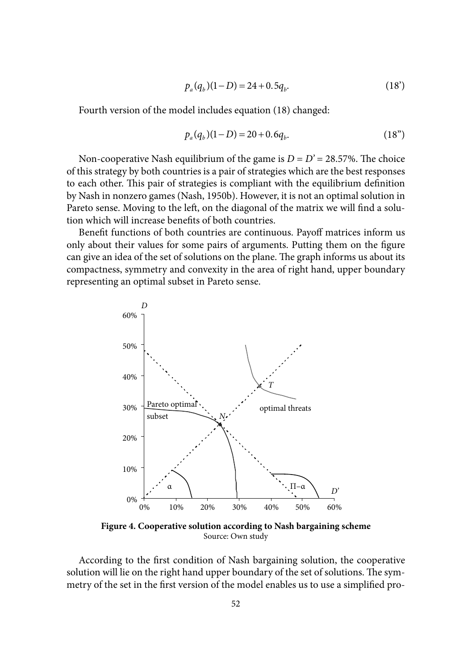$$
p_a(q_b)(1-D) = 24 + 0.5q_b.
$$
 (18)

Fourth version of the model includes equation (18) changed:

$$
p_a(q_b)(1 - D) = 20 + 0.6q_b.
$$
 (18")

Non-cooperative Nash equilibrium of the game is  $D = D' = 28.57\%$ . The choice of this strategy by both countries is a pair of strategies which are the best responses to each other. This pair of strategies is compliant with the equilibrium definition by Nash in nonzero games (Nash, 1950b). However, it is not an optimal solution in Pareto sense. Moving to the left, on the diagonal of the matrix we will find a solution which will increase benefits of both countries.

Benefit functions of both countries are continuous. Payoff matrices inform us only about their values for some pairs of arguments. Putting them on the figure can give an idea of the set of solutions on the plane. The graph informs us about its compactness, symmetry and convexity in the area of right hand, upper boundary representing an optimal subset in Pareto sense.



**Figure 4. Cooperative solution according to Nash bargaining scheme** Source: Own study

According to the first condition of Nash bargaining solution, the cooperative solution will lie on the right hand upper boundary of the set of solutions. The symmetry of the set in the first version of the model enables us to use a simplified pro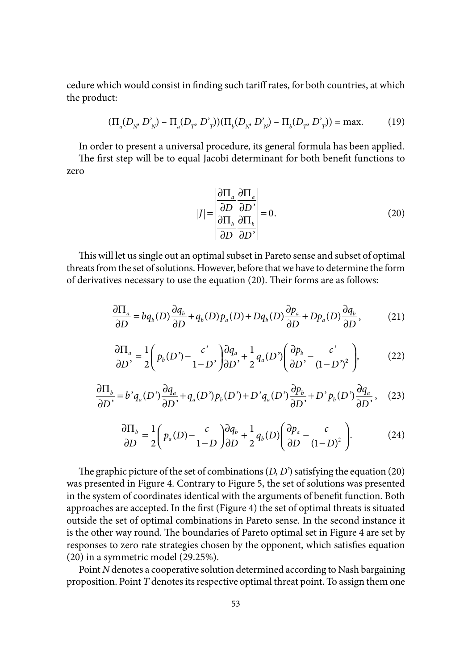cedure which would consist in finding such tariff rates, for both countries, at which the product:

$$
(\Pi_a(D_{N'} D'_{N}) - \Pi_a(D_T, D'_{T})) (\Pi_b(D_{N'} D'_{N}) - \Pi_b(D_T, D'_{T})) = \max.
$$
 (19)

In order to present a universal procedure, its general formula has been applied.

The first step will be to equal Jacobi determinant for both benefit functions to zero

$$
|J| = \begin{vmatrix} \frac{\partial \Pi_a}{\partial D} & \frac{\partial \Pi_a}{\partial D'} \\ \frac{\partial \Pi_b}{\partial D} & \frac{\partial \Pi_b}{\partial D'} \end{vmatrix} = 0.
$$
 (20)

This will let us single out an optimal subset in Pareto sense and subset of optimal threats from the set of solutions. However, before that we have to determine the form of derivatives necessary to use the equation (20). Their forms are as follows:

$$
\frac{\partial \Pi_a}{\partial D} = bq_b(D)\frac{\partial q_b}{\partial D} + q_b(D)p_a(D) + Dq_b(D)\frac{\partial p_a}{\partial D} + Dp_a(D)\frac{\partial q_b}{\partial D},\tag{21}
$$

$$
\frac{\partial \Pi_a}{\partial D'} = \frac{1}{2} \left( p_b(D') - \frac{c'}{1 - D'} \right) \frac{\partial q_a}{\partial D'} + \frac{1}{2} q_a(D') \left( \frac{\partial p_b}{\partial D'} - \frac{c'}{(1 - D')^2} \right),\tag{22}
$$

$$
\frac{\partial \Pi_b}{\partial D'} = b' q_a(D') \frac{\partial q_a}{\partial D'} + q_a(D') p_b(D') + D' q_a(D') \frac{\partial p_b}{\partial D'} + D' p_b(D') \frac{\partial q_a}{\partial D'},\tag{23}
$$

$$
\frac{\partial \Pi_b}{\partial D} = \frac{1}{2} \left( p_a(D) - \frac{c}{1 - D} \right) \frac{\partial q_b}{\partial D} + \frac{1}{2} q_b(D) \left( \frac{\partial p_a}{\partial D} - \frac{c}{(1 - D)^2} \right). \tag{24}
$$

The graphic picture of the set of combinations  $(D, D')$  satisfying the equation  $(20)$ was presented in Figure 4. Contrary to Figure 5, the set of solutions was presented in the system of coordinates identical with the arguments of benefit function. Both approaches are accepted. In the first (Figure 4) the set of optimal threats is situated outside the set of optimal combinations in Pareto sense. In the second instance it is the other way round. The boundaries of Pareto optimal set in Figure 4 are set by responses to zero rate strategies chosen by the opponent, which satisfies equation (20) in a symmetric model (29.25%).

Point *N* denotes a cooperative solution determined according to Nash bargaining proposition. Point *T* denotes its respective optimal threat point. To assign them one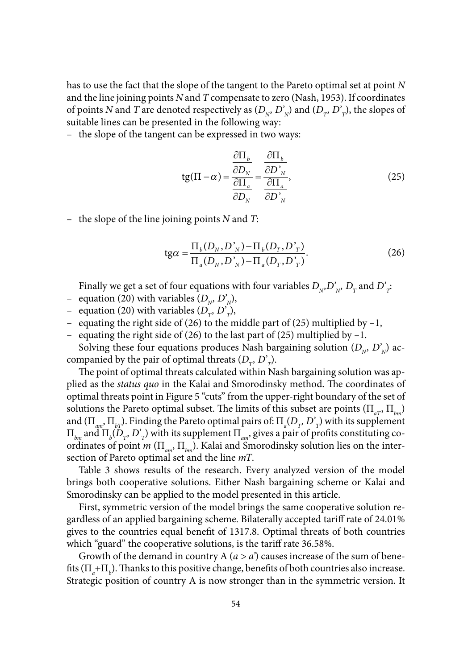has to use the fact that the slope of the tangent to the Pareto optimal set at point *N*  and the line joining points *N* and *T* compensate to zero (Nash, 1953). If coordinates of points *N* and *T* are denoted respectively as  $(D_{N}, D'_{N})$  and  $(D_{T}, D'_{T})$ , the slopes of suitable lines can be presented in the following way:

– the slope of the tangent can be expressed in two ways:

$$
tg(\Pi - \alpha) = \frac{\frac{\partial \Pi_b}{\partial D_N}}{\frac{\partial \Pi_a}{\partial D_N}} = \frac{\frac{\partial \Pi_b}{\partial D_N}}{\frac{\partial \Pi_a}{\partial D_N}},
$$
(25)

– the slope of the line joining points *N* and *T*:

$$
tg\alpha = \frac{\Pi_b(D_N, D_N) - \Pi_b(D_T, D_T)}{\Pi_a(D_N, D_N) - \Pi_a(D_T, D_T)}.
$$
\n(26)

Finally we get a set of four equations with four variables  $D_{N}D_{N}^{y}$ ,  $D_{T}$  and  $D_{T}^{y}$ .

- equation (20) with variables  $(D_{N}, D'_{N})$ ,
- equation (20) with variables  $(D_{\tau}, D'_{\tau})$ ,
- equating the right side of (26) to the middle part of (25) multiplied by –1,
- equating the right side of (26) to the last part of (25) multiplied by –1.

Solving these four equations produces Nash bargaining solution  $(D_{N}, D'_{N})$  accompanied by the pair of optimal threats  $(D_{\tau}, D_{\tau})$ .

The point of optimal threats calculated within Nash bargaining solution was applied as the *status quo* in the Kalai and Smorodinsky method. The coordinates of optimal threats point in Figure 5 "cuts" from the upper-right boundary of the set of solutions the Pareto optimal subset. The limits of this subset are points ( $\Pi_{\alpha T}$ ,  $\Pi_{\mu m}$ ) and  $(\Pi_{am}, \Pi_{bT})$ . Finding the Pareto optimal pairs of:  $\Pi_a(D_T, D'_T)$  with its supplement  $\Pi_{_{bm}}$  and  $\Pi_{_b}(D_{_{T}}, D^{'}_{_{T}})$  with its supplement  $\Pi_{_{am}},$  gives a pair of profits constituting coordinates of point *m* (Π*am*, Π*bm*). Kalai and Smorodinsky solution lies on the intersection of Pareto optimal set and the line *mT*.

Table 3 shows results of the research. Every analyzed version of the model brings both cooperative solutions. Either Nash bargaining scheme or Kalai and Smorodinsky can be applied to the model presented in this article.

First, symmetric version of the model brings the same cooperative solution regardless of an applied bargaining scheme. Bilaterally accepted tariff rate of 24.01% gives to the countries equal benefit of 1317.8. Optimal threats of both countries which "guard" the cooperative solutions, is the tariff rate 36.58%.

Growth of the demand in country A (*a > a'*) causes increase of the sum of benefits  $(\Pi_a + \Pi_b)$ . Thanks to this positive change, benefits of both countries also increase. Strategic position of country A is now stronger than in the symmetric version. It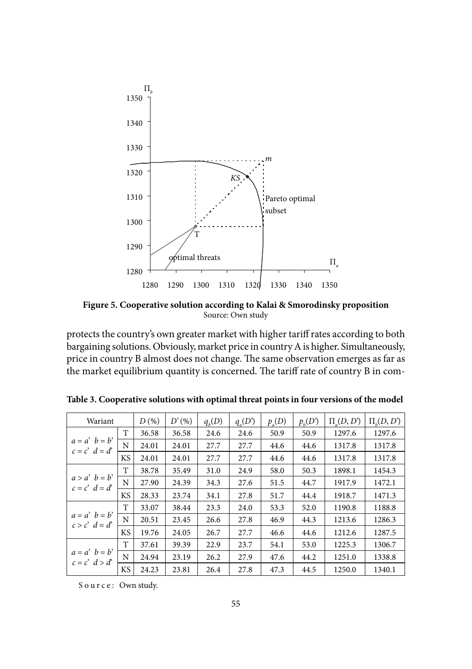

**Figure 5. Cooperative solution according to Kalai & Smorodinsky proposition** Source: Own study

protects the country's own greater market with higher tariff rates according to both bargaining solutions. Obviously, market price in country A is higher. Simultaneously, price in country B almost does not change. The same observation emerges as far as the market equilibrium quantity is concerned. The tariff rate of country B in com-

| Wariant                              |           | $D(\%)$ | D'(%) | $q_{h}(D)$ | $q_{\rho}(D')$ | $p_a(D)$ | $p_{\mu}(D')$ | $\Pi(D, D')$ | $\Pi_{\iota}(D, D')$ |
|--------------------------------------|-----------|---------|-------|------------|----------------|----------|---------------|--------------|----------------------|
|                                      | T         | 36.58   | 36.58 | 24.6       | 24.6           | 50.9     | 50.9          | 1297.6       | 1297.6               |
| $a = a'$ $b = b'$<br>$c = c' d = d'$ | N         | 24.01   | 24.01 | 27.7       | 27.7           | 44.6     | 44.6          | 1317.8       | 1317.8               |
|                                      | <b>KS</b> | 24.01   | 24.01 | 27.7       | 27.7           | 44.6     | 44.6          | 1317.8       | 1317.8               |
|                                      | T         | 38.78   | 35.49 | 31.0       | 24.9           | 58.0     | 50.3          | 1898.1       | 1454.3               |
| $a > a'$ $b = b'$<br>$c = c' d = d'$ | N         | 27.90   | 24.39 | 34.3       | 27.6           | 51.5     | 44.7          | 1917.9       | 1472.1               |
|                                      | KS.       | 28.33   | 23.74 | 34.1       | 27.8           | 51.7     | 44.4          | 1918.7       | 1471.3               |
|                                      | T         | 33.07   | 38.44 | 23.3       | 24.0           | 53.3     | 52.0          | 1190.8       | 1188.8               |
| $a = a'$ $b = b'$<br>$c > c' d = d'$ | N         | 20.51   | 23.45 | 26.6       | 27.8           | 46.9     | 44.3          | 1213.6       | 1286.3               |
|                                      | <b>KS</b> | 19.76   | 24.05 | 26.7       | 27.7           | 46.6     | 44.6          | 1212.6       | 1287.5               |
|                                      | T         | 37.61   | 39.39 | 22.9       | 23.7           | 54.1     | 53.0          | 1225.3       | 1306.7               |
| $a = a'$ $b = b'$<br>$c = c' d > d'$ | N         | 24.94   | 23.19 | 26.2       | 27.9           | 47.6     | 44.2          | 1251.0       | 1338.8               |
|                                      | <b>KS</b> | 24.23   | 23.81 | 26.4       | 27.8           | 47.3     | 44.5          | 1250.0       | 1340.1               |

**Table 3. Cooperative solutions with optimal threat points in four versions of the model**

Source: Own study.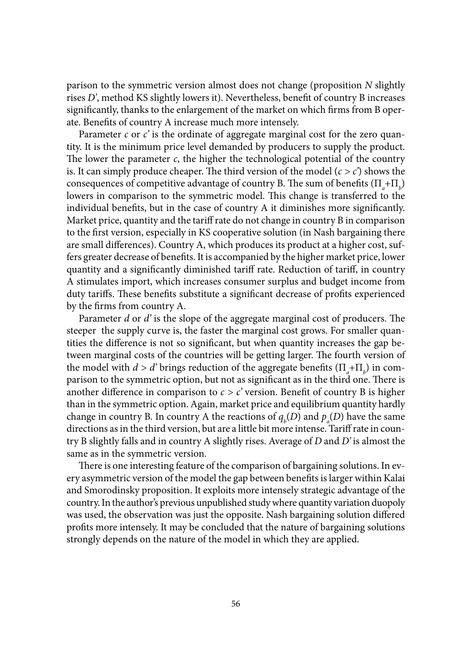parison to the symmetric version almost does not change (proposition *N* slightly rises *D*', method KS slightly lowers it). Nevertheless, benefit of country B increases significantly, thanks to the enlargement of the market on which firms from B operate. Benefits of country A increase much more intensely.

Parameter *c* or *c*' is the ordinate of aggregate marginal cost for the zero quantity. It is the minimum price level demanded by producers to supply the product. The lower the parameter  $c$ , the higher the technological potential of the country is. It can simply produce cheaper. The third version of the model  $(c > c')$  shows the consequences of competitive advantage of country B. The sum of benefits  $(\Pi_a + \Pi_b)$ lowers in comparison to the symmetric model. This change is transferred to the individual benefits, but in the case of country  $A$  it diminishes more significantly. Market price, quantity and the tariff rate do not change in country B in comparison to the first version, especially in KS cooperative solution (in Nash bargaining there are small differences). Country A, which produces its product at a higher cost, suffers greater decrease of benefits. It is accompanied by the higher market price, lower quantity and a significantly diminished tariff rate. Reduction of tariff, in country A stimulates import, which increases consumer surplus and budget income from duty tariffs. These benefits substitute a significant decrease of profits experienced by the firms from country A.

Parameter *d* or *d'* is the slope of the aggregate marginal cost of producers. The steeper the supply curve is, the faster the marginal cost grows. For smaller quantities the difference is not so significant, but when quantity increases the gap between marginal costs of the countries will be getting larger. The fourth version of the model with  $d > d$ ' brings reduction of the aggregate benefits  $(\Pi_a + \Pi_b)$  in comparison to the symmetric option, but not as significant as in the third one. There is another difference in comparison to  $c > c'$  version. Benefit of country B is higher than in the symmetric option. Again, market price and equilibrium quantity hardly change in country B. In country A the reactions of  $q_b(D)$  and  $p_a(D)$  have the same directions as in the third version, but are a little bit more intense. Tariff rate in country B slightly falls and in country A slightly rises. Average of *D* and *D'* is almost the same as in the symmetric version.

There is one interesting feature of the comparison of bargaining solutions. In every asymmetric version of the model the gap between benefits is larger within Kalai and Smorodinsky proposition. It exploits more intensely strategic advantage of the country. In the author's previous unpublished study where quantity variation duopoly was used, the observation was just the opposite. Nash bargaining solution differed profits more intensely. It may be concluded that the nature of bargaining solutions strongly depends on the nature of the model in which they are applied.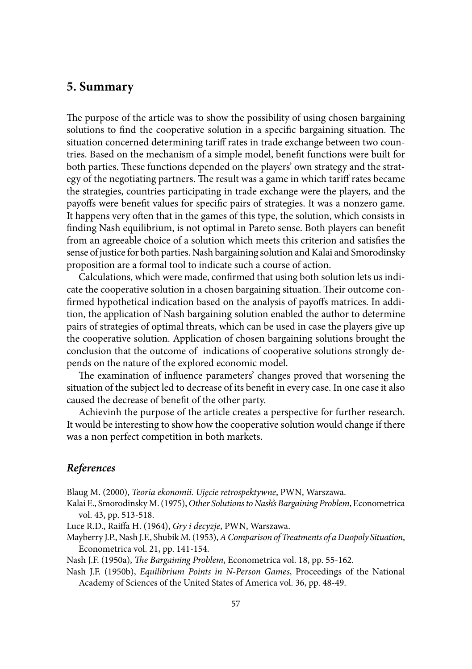### **5. Summary**

The purpose of the article was to show the possibility of using chosen bargaining solutions to find the cooperative solution in a specific bargaining situation. The situation concerned determining tariff rates in trade exchange between two countries. Based on the mechanism of a simple model, benefit functions were built for both parties. These functions depended on the players' own strategy and the strategy of the negotiating partners. The result was a game in which tariff rates became the strategies, countries participating in trade exchange were the players, and the payoffs were benefit values for specific pairs of strategies. It was a nonzero game. It happens very often that in the games of this type, the solution, which consists in finding Nash equilibrium, is not optimal in Pareto sense. Both players can benefit from an agreeable choice of a solution which meets this criterion and satisfies the sense of justice for both parties. Nash bargaining solution and Kalai and Smorodinsky proposition are a formal tool to indicate such a course of action.

Calculations, which were made, confirmed that using both solution lets us indicate the cooperative solution in a chosen bargaining situation. Their outcome confirmed hypothetical indication based on the analysis of payoffs matrices. In addition, the application of Nash bargaining solution enabled the author to determine pairs of strategies of optimal threats, which can be used in case the players give up the cooperative solution. Application of chosen bargaining solutions brought the conclusion that the outcome of indications of cooperative solutions strongly depends on the nature of the explored economic model.

The examination of influence parameters' changes proved that worsening the situation of the subject led to decrease of its benefit in every case. In one case it also caused the decrease of benefit of the other party.

Achievinh the purpose of the article creates a perspective for further research. It would be interesting to show how the cooperative solution would change if there was a non perfect competition in both markets.

#### *References*

Blaug M. (2000), *Teoria ekonomii. Ujęcie retrospektywne*, PWN, Warszawa.

Kalai E., Smorodinsky M. (1975), *Other Solutions to Nash's Bargaining Problem*, Econometrica vol. 43, pp. 513-518.

Luce R.D., Raiffa H. (1964), *Gry i decyzje*, PWN, Warszawa.

Mayberry J.P., Nash J.F., Shubik M. (1953), *A Comparison of Treatments of a Duopoly Situation*, Econometrica vol. 21, pp. 141-154.

Nash J.F. (1950a), *The Bargaining Problem*, Econometrica vol. 18, pp. 55-162.

Nash J.F. (1950b), *Equilibrium Points in N-Person Games*, Proceedings of the National Academy of Sciences of the United States of America vol. 36, pp. 48-49.